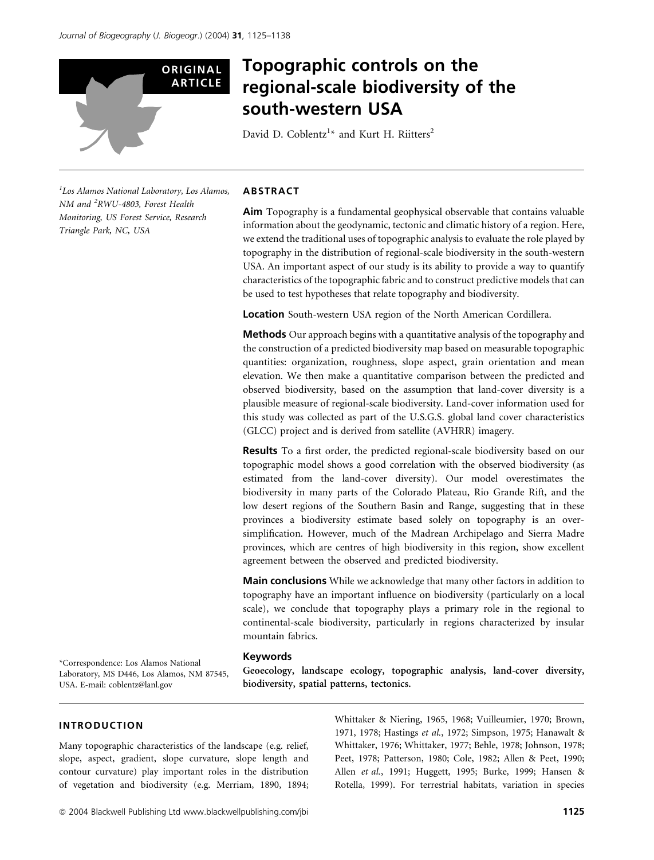

# Topographic controls on the regional-scale biodiversity of the south-western USA

David D. Coblentz<sup>1</sup>\* and Kurt H. Riitters<sup>2</sup>

<sup>1</sup>Los Alamos National Laboratory, Los Alamos, NM and <sup>2</sup>RWU-4803, Forest Health Monitoring, US Forest Service, Research Triangle Park, NC, USA

## ABSTRACT

Aim Topography is a fundamental geophysical observable that contains valuable information about the geodynamic, tectonic and climatic history of a region. Here, we extend the traditional uses of topographic analysis to evaluate the role played by topography in the distribution of regional-scale biodiversity in the south-western USA. An important aspect of our study is its ability to provide a way to quantify characteristics of the topographic fabric and to construct predictive models that can be used to test hypotheses that relate topography and biodiversity.

Location South-western USA region of the North American Cordillera.

Methods Our approach begins with a quantitative analysis of the topography and the construction of a predicted biodiversity map based on measurable topographic quantities: organization, roughness, slope aspect, grain orientation and mean elevation. We then make a quantitative comparison between the predicted and observed biodiversity, based on the assumption that land-cover diversity is a plausible measure of regional-scale biodiversity. Land-cover information used for this study was collected as part of the U.S.G.S. global land cover characteristics (GLCC) project and is derived from satellite (AVHRR) imagery.

Results To a first order, the predicted regional-scale biodiversity based on our topographic model shows a good correlation with the observed biodiversity (as estimated from the land-cover diversity). Our model overestimates the biodiversity in many parts of the Colorado Plateau, Rio Grande Rift, and the low desert regions of the Southern Basin and Range, suggesting that in these provinces a biodiversity estimate based solely on topography is an oversimplification. However, much of the Madrean Archipelago and Sierra Madre provinces, which are centres of high biodiversity in this region, show excellent agreement between the observed and predicted biodiversity.

Main conclusions While we acknowledge that many other factors in addition to topography have an important influence on biodiversity (particularly on a local scale), we conclude that topography plays a primary role in the regional to continental-scale biodiversity, particularly in regions characterized by insular mountain fabrics.

#### Keywords

\*Correspondence: Los Alamos National Laboratory, MS D446, Los Alamos, NM 87545, USA. E-mail: coblentz@lanl.gov

Geoecology, landscape ecology, topographic analysis, land-cover diversity, biodiversity, spatial patterns, tectonics.

#### INTRODUCTION

Many topographic characteristics of the landscape (e.g. relief, slope, aspect, gradient, slope curvature, slope length and contour curvature) play important roles in the distribution of vegetation and biodiversity (e.g. Merriam, 1890, 1894;

Whittaker & Niering, 1965, 1968; Vuilleumier, 1970; Brown, 1971, 1978; Hastings et al., 1972; Simpson, 1975; Hanawalt & Whittaker, 1976; Whittaker, 1977; Behle, 1978; Johnson, 1978; Peet, 1978; Patterson, 1980; Cole, 1982; Allen & Peet, 1990; Allen et al., 1991; Huggett, 1995; Burke, 1999; Hansen & Rotella, 1999). For terrestrial habitats, variation in species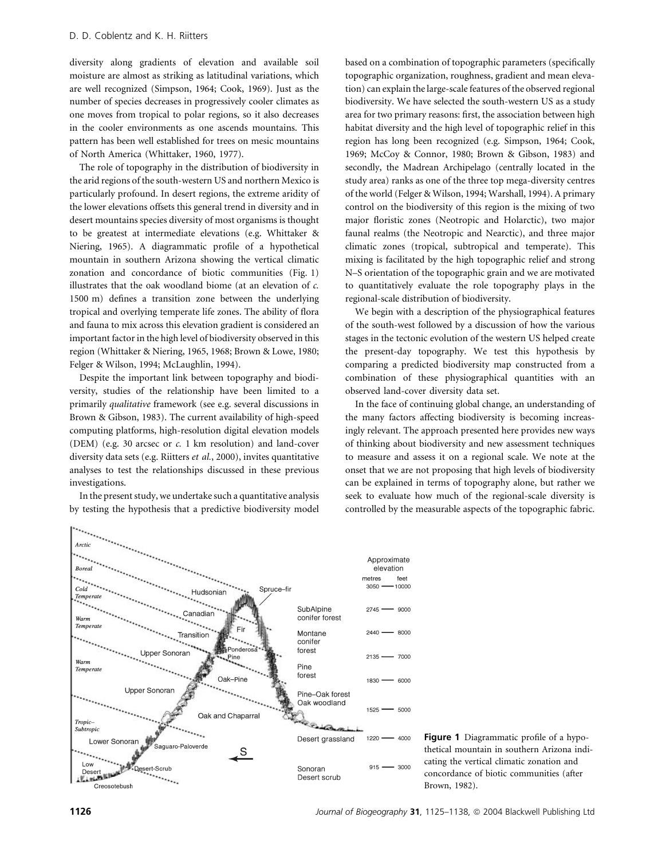diversity along gradients of elevation and available soil moisture are almost as striking as latitudinal variations, which are well recognized (Simpson, 1964; Cook, 1969). Just as the number of species decreases in progressively cooler climates as one moves from tropical to polar regions, so it also decreases in the cooler environments as one ascends mountains. This pattern has been well established for trees on mesic mountains of North America (Whittaker, 1960, 1977).

The role of topography in the distribution of biodiversity in the arid regions of the south-western US and northern Mexico is particularly profound. In desert regions, the extreme aridity of the lower elevations offsets this general trend in diversity and in desert mountains species diversity of most organisms is thought to be greatest at intermediate elevations (e.g. Whittaker & Niering, 1965). A diagrammatic profile of a hypothetical mountain in southern Arizona showing the vertical climatic zonation and concordance of biotic communities (Fig. 1) illustrates that the oak woodland biome (at an elevation of c. 1500 m) defines a transition zone between the underlying tropical and overlying temperate life zones. The ability of flora and fauna to mix across this elevation gradient is considered an important factor in the high level of biodiversity observed in this region (Whittaker & Niering, 1965, 1968; Brown & Lowe, 1980; Felger & Wilson, 1994; McLaughlin, 1994).

Despite the important link between topography and biodiversity, studies of the relationship have been limited to a primarily qualitative framework (see e.g. several discussions in Brown & Gibson, 1983). The current availability of high-speed computing platforms, high-resolution digital elevation models (DEM) (e.g. 30 arcsec or c. 1 km resolution) and land-cover diversity data sets (e.g. Riitters et al., 2000), invites quantitative analyses to test the relationships discussed in these previous investigations.

In the present study, we undertake such a quantitative analysis by testing the hypothesis that a predictive biodiversity model

based on a combination of topographic parameters (specifically topographic organization, roughness, gradient and mean elevation) can explain the large-scale features of the observed regional biodiversity. We have selected the south-western US as a study area for two primary reasons: first, the association between high habitat diversity and the high level of topographic relief in this region has long been recognized (e.g. Simpson, 1964; Cook, 1969; McCoy & Connor, 1980; Brown & Gibson, 1983) and secondly, the Madrean Archipelago (centrally located in the study area) ranks as one of the three top mega-diversity centres of the world (Felger & Wilson, 1994; Warshall, 1994). A primary control on the biodiversity of this region is the mixing of two major floristic zones (Neotropic and Holarctic), two major faunal realms (the Neotropic and Nearctic), and three major climatic zones (tropical, subtropical and temperate). This mixing is facilitated by the high topographic relief and strong N–S orientation of the topographic grain and we are motivated to quantitatively evaluate the role topography plays in the regional-scale distribution of biodiversity.

We begin with a description of the physiographical features of the south-west followed by a discussion of how the various stages in the tectonic evolution of the western US helped create the present-day topography. We test this hypothesis by comparing a predicted biodiversity map constructed from a combination of these physiographical quantities with an observed land-cover diversity data set.

In the face of continuing global change, an understanding of the many factors affecting biodiversity is becoming increasingly relevant. The approach presented here provides new ways of thinking about biodiversity and new assessment techniques to measure and assess it on a regional scale. We note at the onset that we are not proposing that high levels of biodiversity can be explained in terms of topography alone, but rather we seek to evaluate how much of the regional-scale diversity is controlled by the measurable aspects of the topographic fabric.



Figure 1 Diagrammatic profile of a hypothetical mountain in southern Arizona indicating the vertical climatic zonation and concordance of biotic communities (after Brown, 1982).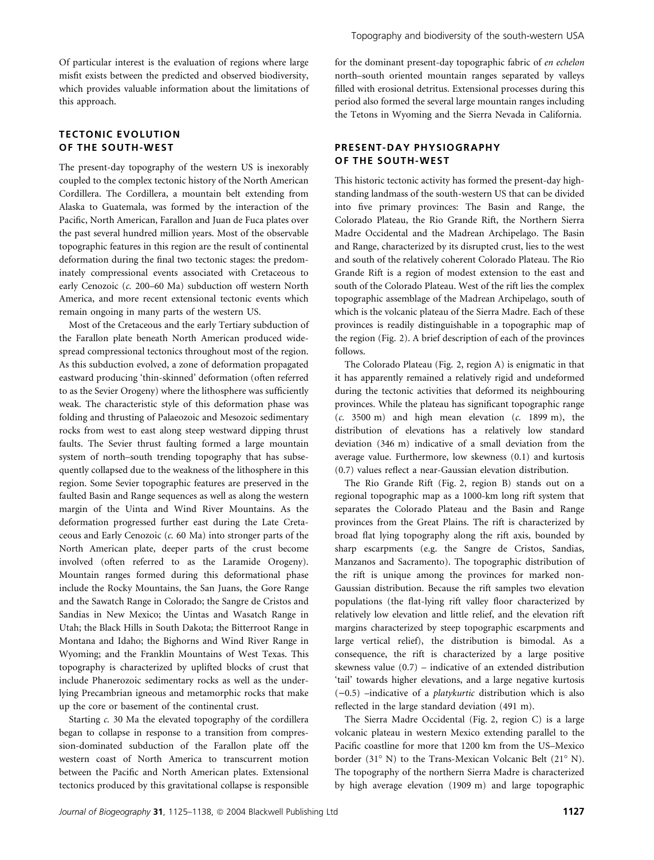Of particular interest is the evaluation of regions where large misfit exists between the predicted and observed biodiversity, which provides valuable information about the limitations of this approach.

## TECTONIC EVOLUTION OF THE SOUTH-WEST

The present-day topography of the western US is inexorably coupled to the complex tectonic history of the North American Cordillera. The Cordillera, a mountain belt extending from Alaska to Guatemala, was formed by the interaction of the Pacific, North American, Farallon and Juan de Fuca plates over the past several hundred million years. Most of the observable topographic features in this region are the result of continental deformation during the final two tectonic stages: the predominately compressional events associated with Cretaceous to early Cenozoic (c. 200–60 Ma) subduction off western North America, and more recent extensional tectonic events which remain ongoing in many parts of the western US.

Most of the Cretaceous and the early Tertiary subduction of the Farallon plate beneath North American produced widespread compressional tectonics throughout most of the region. As this subduction evolved, a zone of deformation propagated eastward producing 'thin-skinned' deformation (often referred to as the Sevier Orogeny) where the lithosphere was sufficiently weak. The characteristic style of this deformation phase was folding and thrusting of Palaeozoic and Mesozoic sedimentary rocks from west to east along steep westward dipping thrust faults. The Sevier thrust faulting formed a large mountain system of north–south trending topography that has subsequently collapsed due to the weakness of the lithosphere in this region. Some Sevier topographic features are preserved in the faulted Basin and Range sequences as well as along the western margin of the Uinta and Wind River Mountains. As the deformation progressed further east during the Late Cretaceous and Early Cenozoic  $(c. 60 \text{ Ma})$  into stronger parts of the North American plate, deeper parts of the crust become involved (often referred to as the Laramide Orogeny). Mountain ranges formed during this deformational phase include the Rocky Mountains, the San Juans, the Gore Range and the Sawatch Range in Colorado; the Sangre de Cristos and Sandias in New Mexico; the Uintas and Wasatch Range in Utah; the Black Hills in South Dakota; the Bitterroot Range in Montana and Idaho; the Bighorns and Wind River Range in Wyoming; and the Franklin Mountains of West Texas. This topography is characterized by uplifted blocks of crust that include Phanerozoic sedimentary rocks as well as the underlying Precambrian igneous and metamorphic rocks that make up the core or basement of the continental crust.

Starting c. 30 Ma the elevated topography of the cordillera began to collapse in response to a transition from compression-dominated subduction of the Farallon plate off the western coast of North America to transcurrent motion between the Pacific and North American plates. Extensional tectonics produced by this gravitational collapse is responsible for the dominant present-day topographic fabric of en echelon north–south oriented mountain ranges separated by valleys filled with erosional detritus. Extensional processes during this period also formed the several large mountain ranges including the Tetons in Wyoming and the Sierra Nevada in California.

# PRESENT-DAY PHYSIOGRAPHY OF THE SOUTH-WEST

This historic tectonic activity has formed the present-day highstanding landmass of the south-western US that can be divided into five primary provinces: The Basin and Range, the Colorado Plateau, the Rio Grande Rift, the Northern Sierra Madre Occidental and the Madrean Archipelago. The Basin and Range, characterized by its disrupted crust, lies to the west and south of the relatively coherent Colorado Plateau. The Rio Grande Rift is a region of modest extension to the east and south of the Colorado Plateau. West of the rift lies the complex topographic assemblage of the Madrean Archipelago, south of which is the volcanic plateau of the Sierra Madre. Each of these provinces is readily distinguishable in a topographic map of the region (Fig. 2). A brief description of each of the provinces follows.

The Colorado Plateau (Fig. 2, region A) is enigmatic in that it has apparently remained a relatively rigid and undeformed during the tectonic activities that deformed its neighbouring provinces. While the plateau has significant topographic range  $(c. 3500 \text{ m})$  and high mean elevation  $(c. 1899 \text{ m})$ , the distribution of elevations has a relatively low standard deviation (346 m) indicative of a small deviation from the average value. Furthermore, low skewness (0.1) and kurtosis (0.7) values reflect a near-Gaussian elevation distribution.

The Rio Grande Rift (Fig. 2, region B) stands out on a regional topographic map as a 1000-km long rift system that separates the Colorado Plateau and the Basin and Range provinces from the Great Plains. The rift is characterized by broad flat lying topography along the rift axis, bounded by sharp escarpments (e.g. the Sangre de Cristos, Sandias, Manzanos and Sacramento). The topographic distribution of the rift is unique among the provinces for marked non-Gaussian distribution. Because the rift samples two elevation populations (the flat-lying rift valley floor characterized by relatively low elevation and little relief, and the elevation rift margins characterized by steep topographic escarpments and large vertical relief), the distribution is bimodal. As a consequence, the rift is characterized by a large positive skewness value (0.7) – indicative of an extended distribution 'tail' towards higher elevations, and a large negative kurtosis  $(-0.5)$  –indicative of a *platykurtic* distribution which is also reflected in the large standard deviation (491 m).

The Sierra Madre Occidental (Fig. 2, region C) is a large volcanic plateau in western Mexico extending parallel to the Pacific coastline for more that 1200 km from the US–Mexico border (31° N) to the Trans-Mexican Volcanic Belt (21° N). The topography of the northern Sierra Madre is characterized by high average elevation (1909 m) and large topographic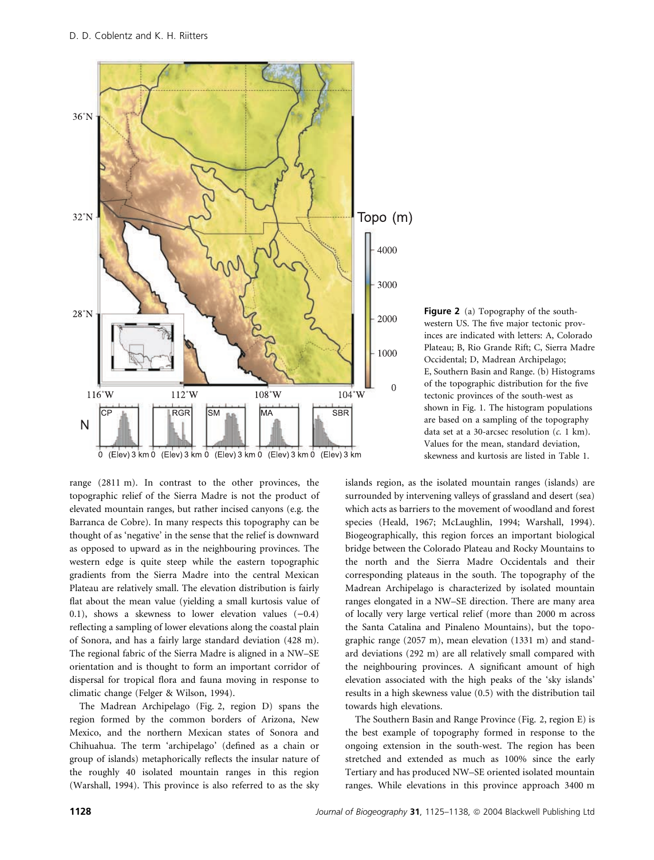

range (2811 m). In contrast to the other provinces, the topographic relief of the Sierra Madre is not the product of elevated mountain ranges, but rather incised canyons (e.g. the Barranca de Cobre). In many respects this topography can be thought of as 'negative' in the sense that the relief is downward as opposed to upward as in the neighbouring provinces. The western edge is quite steep while the eastern topographic gradients from the Sierra Madre into the central Mexican Plateau are relatively small. The elevation distribution is fairly flat about the mean value (yielding a small kurtosis value of 0.1), shows a skewness to lower elevation values  $(-0.4)$ reflecting a sampling of lower elevations along the coastal plain of Sonora, and has a fairly large standard deviation (428 m). The regional fabric of the Sierra Madre is aligned in a NW–SE orientation and is thought to form an important corridor of dispersal for tropical flora and fauna moving in response to climatic change (Felger & Wilson, 1994).

The Madrean Archipelago (Fig. 2, region D) spans the region formed by the common borders of Arizona, New Mexico, and the northern Mexican states of Sonora and Chihuahua. The term 'archipelago' (defined as a chain or group of islands) metaphorically reflects the insular nature of the roughly 40 isolated mountain ranges in this region (Warshall, 1994). This province is also referred to as the sky



islands region, as the isolated mountain ranges (islands) are surrounded by intervening valleys of grassland and desert (sea) which acts as barriers to the movement of woodland and forest species (Heald, 1967; McLaughlin, 1994; Warshall, 1994). Biogeographically, this region forces an important biological bridge between the Colorado Plateau and Rocky Mountains to the north and the Sierra Madre Occidentals and their corresponding plateaus in the south. The topography of the Madrean Archipelago is characterized by isolated mountain ranges elongated in a NW–SE direction. There are many area of locally very large vertical relief (more than 2000 m across the Santa Catalina and Pinaleno Mountains), but the topographic range (2057 m), mean elevation (1331 m) and standard deviations (292 m) are all relatively small compared with the neighbouring provinces. A significant amount of high elevation associated with the high peaks of the 'sky islands' results in a high skewness value (0.5) with the distribution tail towards high elevations.

The Southern Basin and Range Province (Fig. 2, region E) is the best example of topography formed in response to the ongoing extension in the south-west. The region has been stretched and extended as much as 100% since the early Tertiary and has produced NW–SE oriented isolated mountain ranges. While elevations in this province approach 3400 m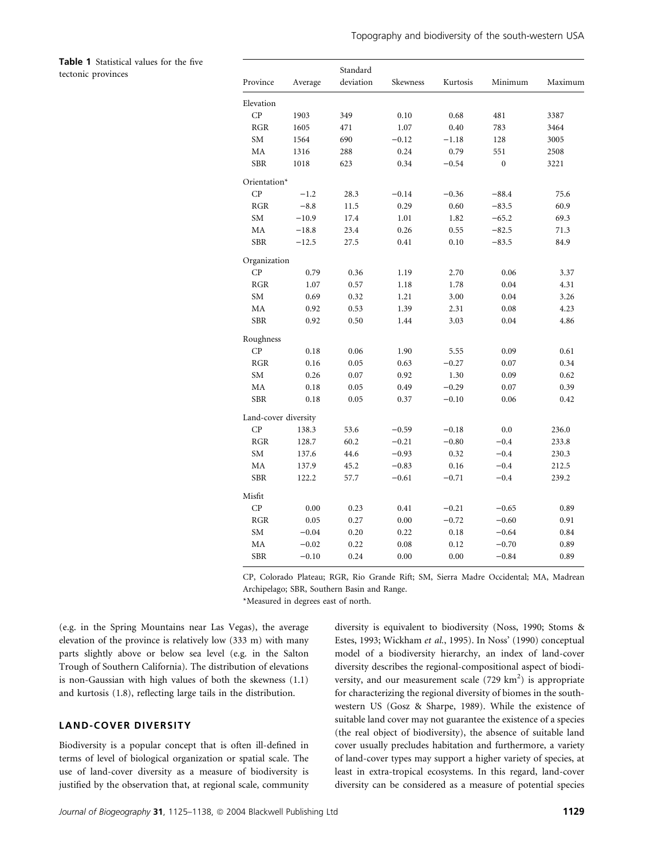Table 1 Statistical values for the five tectonic provinces

| Province             | Average | Standard<br>deviation | Skewness | Kurtosis | Minimum          | Maximum |
|----------------------|---------|-----------------------|----------|----------|------------------|---------|
| Elevation            |         |                       |          |          |                  |         |
| CP                   | 1903    | 349                   | 0.10     | 0.68     | 481              | 3387    |
| <b>RGR</b>           | 1605    | 471                   | 1.07     | 0.40     | 783              | 3464    |
| <b>SM</b>            | 1564    | 690                   | $-0.12$  | $-1.18$  | 128              | 3005    |
| MA                   | 1316    | 288                   | 0.24     | 0.79     | 551              | 2508    |
| <b>SBR</b>           | 1018    | 623                   | 0.34     | $-0.54$  | $\boldsymbol{0}$ | 3221    |
| Orientation*         |         |                       |          |          |                  |         |
| CP                   | $-1.2$  | 28.3                  | $-0.14$  | $-0.36$  | $-88.4$          | 75.6    |
| <b>RGR</b>           | $-8.8$  | 11.5                  | 0.29     | 0.60     | $-83.5$          | 60.9    |
| SM                   | $-10.9$ | 17.4                  | 1.01     | 1.82     | $-65.2$          | 69.3    |
| MA                   | $-18.8$ | 23.4                  | 0.26     | 0.55     | $-82.5$          | 71.3    |
| <b>SBR</b>           | $-12.5$ | 27.5                  | 0.41     | 0.10     | $-83.5$          | 84.9    |
| Organization         |         |                       |          |          |                  |         |
| CP                   | 0.79    | 0.36                  | 1.19     | 2.70     | 0.06             | 3.37    |
| <b>RGR</b>           | 1.07    | 0.57                  | 1.18     | 1.78     | 0.04             | 4.31    |
| <b>SM</b>            | 0.69    | 0.32                  | 1.21     | 3.00     | 0.04             | 3.26    |
| MA                   | 0.92    | 0.53                  | 1.39     | 2.31     | 0.08             | 4.23    |
| <b>SBR</b>           | 0.92    | 0.50                  | 1.44     | 3.03     | 0.04             | 4.86    |
| Roughness            |         |                       |          |          |                  |         |
| CP                   | 0.18    | 0.06                  | 1.90     | 5.55     | 0.09             | 0.61    |
| <b>RGR</b>           | 0.16    | 0.05                  | 0.63     | $-0.27$  | 0.07             | 0.34    |
| <b>SM</b>            | 0.26    | 0.07                  | 0.92     | 1.30     | 0.09             | 0.62    |
| MA                   | 0.18    | 0.05                  | 0.49     | $-0.29$  | 0.07             | 0.39    |
| <b>SBR</b>           | 0.18    | 0.05                  | 0.37     | $-0.10$  | 0.06             | 0.42    |
| Land-cover diversity |         |                       |          |          |                  |         |
| CP                   | 138.3   | 53.6                  | $-0.59$  | $-0.18$  | 0.0              | 236.0   |
| RGR                  | 128.7   | 60.2                  | $-0.21$  | $-0.80$  | $-0.4$           | 233.8   |
| <b>SM</b>            | 137.6   | 44.6                  | $-0.93$  | 0.32     | $-0.4$           | 230.3   |
| MA                   | 137.9   | 45.2                  | $-0.83$  | 0.16     | $-0.4$           | 212.5   |
| <b>SBR</b>           | 122.2   | 57.7                  | $-0.61$  | $-0.71$  | $-0.4$           | 239.2   |
| Misfit               |         |                       |          |          |                  |         |
| CP                   | 0.00    | 0.23                  | 0.41     | $-0.21$  | $-0.65$          | 0.89    |
| RGR                  | 0.05    | 0.27                  | 0.00     | $-0.72$  | $-0.60$          | 0.91    |
| SM                   | $-0.04$ | 0.20                  | 0.22     | 0.18     | $-0.64$          | 0.84    |
| MA                   | $-0.02$ | 0.22                  | 0.08     | 0.12     | $-0.70$          | 0.89    |
| <b>SBR</b>           | $-0.10$ | 0.24                  | 0.00     | 0.00     | $-0.84$          | 0.89    |

CP, Colorado Plateau; RGR, Rio Grande Rift; SM, Sierra Madre Occidental; MA, Madrean Archipelago; SBR, Southern Basin and Range. \*Measured in degrees east of north.

(e.g. in the Spring Mountains near Las Vegas), the average elevation of the province is relatively low (333 m) with many parts slightly above or below sea level (e.g. in the Salton Trough of Southern California). The distribution of elevations is non-Gaussian with high values of both the skewness (1.1) and kurtosis (1.8), reflecting large tails in the distribution.

## LAND-COVER DIVERSITY

Biodiversity is a popular concept that is often ill-defined in terms of level of biological organization or spatial scale. The use of land-cover diversity as a measure of biodiversity is justified by the observation that, at regional scale, community diversity is equivalent to biodiversity (Noss, 1990; Stoms & Estes, 1993; Wickham et al., 1995). In Noss' (1990) conceptual model of a biodiversity hierarchy, an index of land-cover diversity describes the regional-compositional aspect of biodiversity, and our measurement scale  $(729 \text{ km}^2)$  is appropriate for characterizing the regional diversity of biomes in the southwestern US (Gosz & Sharpe, 1989). While the existence of suitable land cover may not guarantee the existence of a species (the real object of biodiversity), the absence of suitable land cover usually precludes habitation and furthermore, a variety of land-cover types may support a higher variety of species, at least in extra-tropical ecosystems. In this regard, land-cover diversity can be considered as a measure of potential species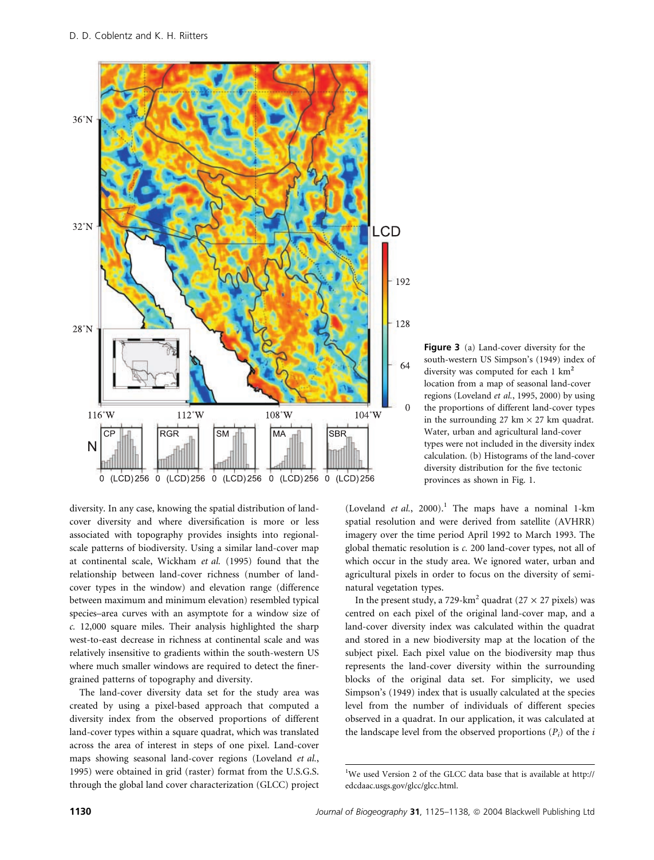

Figure 3 (a) Land-cover diversity for the south-western US Simpson's (1949) index of diversity was computed for each 1 km<sup>2</sup> location from a map of seasonal land-cover regions (Loveland et al., 1995, 2000) by using the proportions of different land-cover types in the surrounding  $27 \text{ km} \times 27 \text{ km}$  quadrat. Water, urban and agricultural land-cover types were not included in the diversity index calculation. (b) Histograms of the land-cover diversity distribution for the five tectonic provinces as shown in Fig. 1.

diversity. In any case, knowing the spatial distribution of landcover diversity and where diversification is more or less associated with topography provides insights into regionalscale patterns of biodiversity. Using a similar land-cover map at continental scale, Wickham et al. (1995) found that the relationship between land-cover richness (number of landcover types in the window) and elevation range (difference between maximum and minimum elevation) resembled typical species–area curves with an asymptote for a window size of c. 12,000 square miles. Their analysis highlighted the sharp west-to-east decrease in richness at continental scale and was relatively insensitive to gradients within the south-western US where much smaller windows are required to detect the finergrained patterns of topography and diversity.

The land-cover diversity data set for the study area was created by using a pixel-based approach that computed a diversity index from the observed proportions of different land-cover types within a square quadrat, which was translated across the area of interest in steps of one pixel. Land-cover maps showing seasonal land-cover regions (Loveland et al., 1995) were obtained in grid (raster) format from the U.S.G.S. through the global land cover characterization (GLCC) project (Loveland et al., 2000).<sup>1</sup> The maps have a nominal 1-km spatial resolution and were derived from satellite (AVHRR) imagery over the time period April 1992 to March 1993. The global thematic resolution is c. 200 land-cover types, not all of which occur in the study area. We ignored water, urban and agricultural pixels in order to focus on the diversity of seminatural vegetation types.

In the present study, a 729-km<sup>2</sup> quadrat (27  $\times$  27 pixels) was centred on each pixel of the original land-cover map, and a land-cover diversity index was calculated within the quadrat and stored in a new biodiversity map at the location of the subject pixel. Each pixel value on the biodiversity map thus represents the land-cover diversity within the surrounding blocks of the original data set. For simplicity, we used Simpson's (1949) index that is usually calculated at the species level from the number of individuals of different species observed in a quadrat. In our application, it was calculated at the landscape level from the observed proportions  $(P_i)$  of the i

<sup>&</sup>lt;sup>1</sup>We used Version 2 of the GLCC data base that is available at http:// edcdaac.usgs.gov/glcc/glcc.html.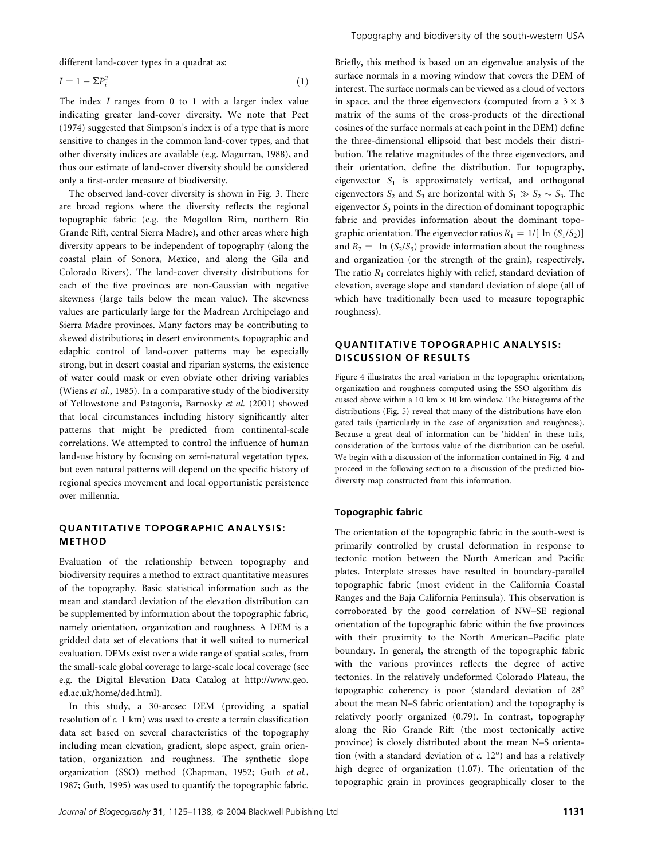different land-cover types in a quadrat as:

$$
I = 1 - \Sigma P_i^2 \tag{1}
$$

The index I ranges from 0 to 1 with a larger index value indicating greater land-cover diversity. We note that Peet (1974) suggested that Simpson's index is of a type that is more sensitive to changes in the common land-cover types, and that other diversity indices are available (e.g. Magurran, 1988), and thus our estimate of land-cover diversity should be considered only a first-order measure of biodiversity.

The observed land-cover diversity is shown in Fig. 3. There are broad regions where the diversity reflects the regional topographic fabric (e.g. the Mogollon Rim, northern Rio Grande Rift, central Sierra Madre), and other areas where high diversity appears to be independent of topography (along the coastal plain of Sonora, Mexico, and along the Gila and Colorado Rivers). The land-cover diversity distributions for each of the five provinces are non-Gaussian with negative skewness (large tails below the mean value). The skewness values are particularly large for the Madrean Archipelago and Sierra Madre provinces. Many factors may be contributing to skewed distributions; in desert environments, topographic and edaphic control of land-cover patterns may be especially strong, but in desert coastal and riparian systems, the existence of water could mask or even obviate other driving variables (Wiens et al., 1985). In a comparative study of the biodiversity of Yellowstone and Patagonia, Barnosky et al. (2001) showed that local circumstances including history significantly alter patterns that might be predicted from continental-scale correlations. We attempted to control the influence of human land-use history by focusing on semi-natural vegetation types, but even natural patterns will depend on the specific history of regional species movement and local opportunistic persistence over millennia.

## QUANTITATIVE TOPOGRAPHIC ANALYSIS: METHOD

Evaluation of the relationship between topography and biodiversity requires a method to extract quantitative measures of the topography. Basic statistical information such as the mean and standard deviation of the elevation distribution can be supplemented by information about the topographic fabric, namely orientation, organization and roughness. A DEM is a gridded data set of elevations that it well suited to numerical evaluation. DEMs exist over a wide range of spatial scales, from the small-scale global coverage to large-scale local coverage (see e.g. the Digital Elevation Data Catalog at http://www.geo. ed.ac.uk/home/ded.html).

In this study, a 30-arcsec DEM (providing a spatial resolution of c. 1 km) was used to create a terrain classification data set based on several characteristics of the topography including mean elevation, gradient, slope aspect, grain orientation, organization and roughness. The synthetic slope organization (SSO) method (Chapman, 1952; Guth et al., 1987; Guth, 1995) was used to quantify the topographic fabric.

Briefly, this method is based on an eigenvalue analysis of the surface normals in a moving window that covers the DEM of interest. The surface normals can be viewed as a cloud of vectors in space, and the three eigenvectors (computed from a  $3 \times 3$ matrix of the sums of the cross-products of the directional cosines of the surface normals at each point in the DEM) define the three-dimensional ellipsoid that best models their distribution. The relative magnitudes of the three eigenvectors, and their orientation, define the distribution. For topography, eigenvector  $S_1$  is approximately vertical, and orthogonal eigenvectors  $S_2$  and  $S_3$  are horizontal with  $S_1 \gg S_2 \sim S_3$ . The eigenvector  $S_3$  points in the direction of dominant topographic fabric and provides information about the dominant topographic orientation. The eigenvector ratios  $R_1 = 1/[\ln (S_1/S_2)]$ and  $R_2 = \ln (S_2/S_3)$  provide information about the roughness and organization (or the strength of the grain), respectively. The ratio  $R_1$  correlates highly with relief, standard deviation of elevation, average slope and standard deviation of slope (all of which have traditionally been used to measure topographic roughness).

## QUANTITATIVE TOPOGRAPHIC ANALYSIS: DISCUSSION OF RESULTS

Figure 4 illustrates the areal variation in the topographic orientation, organization and roughness computed using the SSO algorithm discussed above within a 10 km  $\times$  10 km window. The histograms of the distributions (Fig. 5) reveal that many of the distributions have elongated tails (particularly in the case of organization and roughness). Because a great deal of information can be 'hidden' in these tails, consideration of the kurtosis value of the distribution can be useful. We begin with a discussion of the information contained in Fig. 4 and proceed in the following section to a discussion of the predicted biodiversity map constructed from this information.

#### Topographic fabric

The orientation of the topographic fabric in the south-west is primarily controlled by crustal deformation in response to tectonic motion between the North American and Pacific plates. Interplate stresses have resulted in boundary-parallel topographic fabric (most evident in the California Coastal Ranges and the Baja California Peninsula). This observation is corroborated by the good correlation of NW–SE regional orientation of the topographic fabric within the five provinces with their proximity to the North American–Pacific plate boundary. In general, the strength of the topographic fabric with the various provinces reflects the degree of active tectonics. In the relatively undeformed Colorado Plateau, the topographic coherency is poor (standard deviation of 28° about the mean N–S fabric orientation) and the topography is relatively poorly organized (0.79). In contrast, topography along the Rio Grande Rift (the most tectonically active province) is closely distributed about the mean N–S orientation (with a standard deviation of  $c$ . 12 $^{\circ}$ ) and has a relatively high degree of organization (1.07). The orientation of the topographic grain in provinces geographically closer to the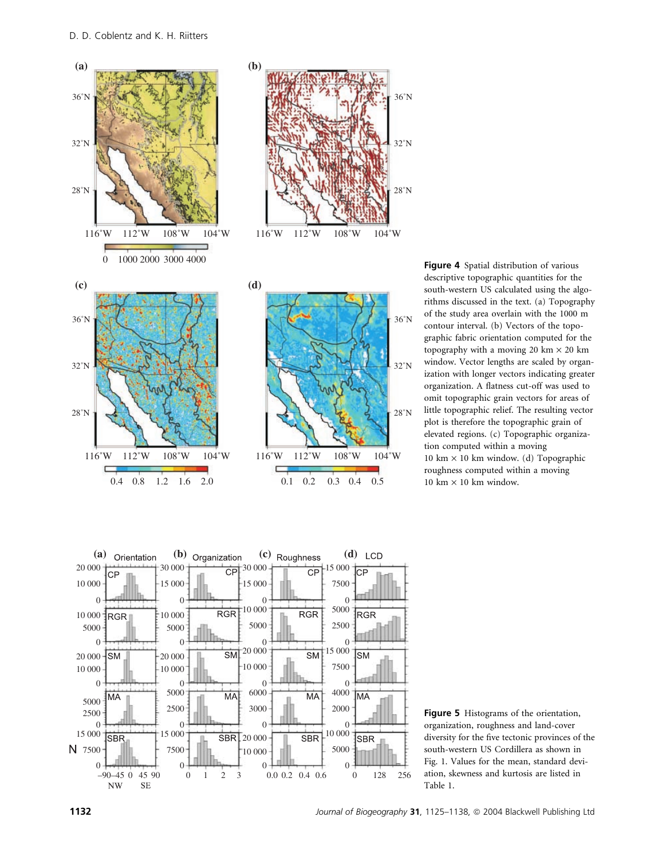

Figure 4 Spatial distribution of various descriptive topographic quantities for the south-western US calculated using the algorithms discussed in the text. (a) Topography of the study area overlain with the 1000 m contour interval. (b) Vectors of the topographic fabric orientation computed for the topography with a moving 20 km  $\times$  20 km window. Vector lengths are scaled by organization with longer vectors indicating greater organization. A flatness cut-off was used to omit topographic grain vectors for areas of little topographic relief. The resulting vector plot is therefore the topographic grain of elevated regions. (c) Topographic organization computed within a moving 10 km  $\times$  10 km window. (d) Topographic roughness computed within a moving 10 km  $\times$  10 km window.



Figure 5 Histograms of the orientation, organization, roughness and land-cover diversity for the five tectonic provinces of the south-western US Cordillera as shown in Fig. 1. Values for the mean, standard deviation, skewness and kurtosis are listed in Table 1.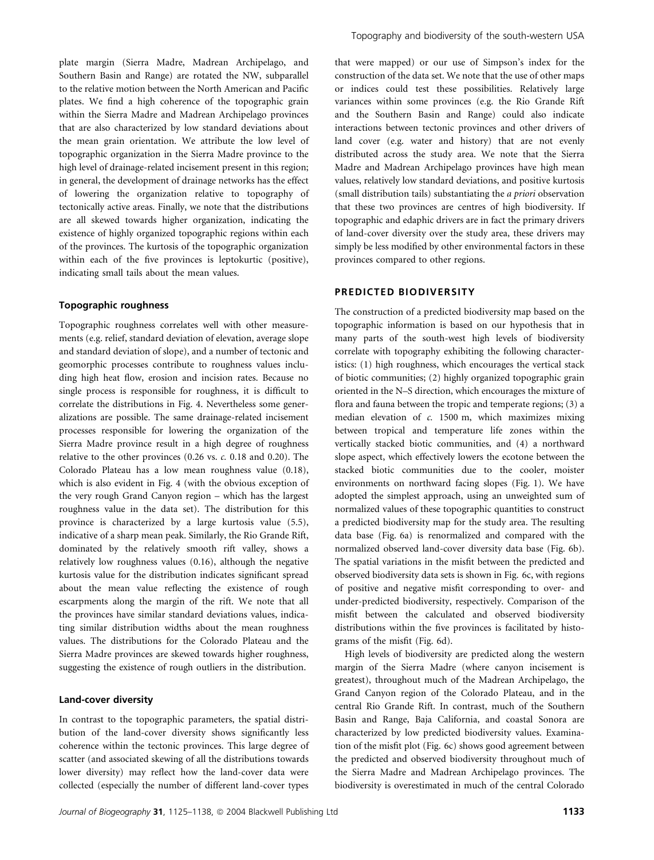plate margin (Sierra Madre, Madrean Archipelago, and Southern Basin and Range) are rotated the NW, subparallel to the relative motion between the North American and Pacific plates. We find a high coherence of the topographic grain within the Sierra Madre and Madrean Archipelago provinces that are also characterized by low standard deviations about the mean grain orientation. We attribute the low level of topographic organization in the Sierra Madre province to the high level of drainage-related incisement present in this region; in general, the development of drainage networks has the effect of lowering the organization relative to topography of tectonically active areas. Finally, we note that the distributions are all skewed towards higher organization, indicating the existence of highly organized topographic regions within each of the provinces. The kurtosis of the topographic organization within each of the five provinces is leptokurtic (positive), indicating small tails about the mean values.

#### Topographic roughness

Topographic roughness correlates well with other measurements (e.g. relief, standard deviation of elevation, average slope and standard deviation of slope), and a number of tectonic and geomorphic processes contribute to roughness values including high heat flow, erosion and incision rates. Because no single process is responsible for roughness, it is difficult to correlate the distributions in Fig. 4. Nevertheless some generalizations are possible. The same drainage-related incisement processes responsible for lowering the organization of the Sierra Madre province result in a high degree of roughness relative to the other provinces (0.26 vs. c. 0.18 and 0.20). The Colorado Plateau has a low mean roughness value (0.18), which is also evident in Fig. 4 (with the obvious exception of the very rough Grand Canyon region – which has the largest roughness value in the data set). The distribution for this province is characterized by a large kurtosis value (5.5), indicative of a sharp mean peak. Similarly, the Rio Grande Rift, dominated by the relatively smooth rift valley, shows a relatively low roughness values (0.16), although the negative kurtosis value for the distribution indicates significant spread about the mean value reflecting the existence of rough escarpments along the margin of the rift. We note that all the provinces have similar standard deviations values, indicating similar distribution widths about the mean roughness values. The distributions for the Colorado Plateau and the Sierra Madre provinces are skewed towards higher roughness, suggesting the existence of rough outliers in the distribution.

## Land-cover diversity

In contrast to the topographic parameters, the spatial distribution of the land-cover diversity shows significantly less coherence within the tectonic provinces. This large degree of scatter (and associated skewing of all the distributions towards lower diversity) may reflect how the land-cover data were collected (especially the number of different land-cover types

that were mapped) or our use of Simpson's index for the construction of the data set. We note that the use of other maps or indices could test these possibilities. Relatively large variances within some provinces (e.g. the Rio Grande Rift and the Southern Basin and Range) could also indicate interactions between tectonic provinces and other drivers of land cover (e.g. water and history) that are not evenly distributed across the study area. We note that the Sierra Madre and Madrean Archipelago provinces have high mean values, relatively low standard deviations, and positive kurtosis (small distribution tails) substantiating the a priori observation that these two provinces are centres of high biodiversity. If topographic and edaphic drivers are in fact the primary drivers of land-cover diversity over the study area, these drivers may simply be less modified by other environmental factors in these provinces compared to other regions.

# PREDICTED BIODIVERSITY

The construction of a predicted biodiversity map based on the topographic information is based on our hypothesis that in many parts of the south-west high levels of biodiversity correlate with topography exhibiting the following characteristics: (1) high roughness, which encourages the vertical stack of biotic communities; (2) highly organized topographic grain oriented in the N–S direction, which encourages the mixture of flora and fauna between the tropic and temperate regions; (3) a median elevation of c. 1500 m, which maximizes mixing between tropical and temperature life zones within the vertically stacked biotic communities, and (4) a northward slope aspect, which effectively lowers the ecotone between the stacked biotic communities due to the cooler, moister environments on northward facing slopes (Fig. 1). We have adopted the simplest approach, using an unweighted sum of normalized values of these topographic quantities to construct a predicted biodiversity map for the study area. The resulting data base (Fig. 6a) is renormalized and compared with the normalized observed land-cover diversity data base (Fig. 6b). The spatial variations in the misfit between the predicted and observed biodiversity data sets is shown in Fig. 6c, with regions of positive and negative misfit corresponding to over- and under-predicted biodiversity, respectively. Comparison of the misfit between the calculated and observed biodiversity distributions within the five provinces is facilitated by histograms of the misfit (Fig. 6d).

High levels of biodiversity are predicted along the western margin of the Sierra Madre (where canyon incisement is greatest), throughout much of the Madrean Archipelago, the Grand Canyon region of the Colorado Plateau, and in the central Rio Grande Rift. In contrast, much of the Southern Basin and Range, Baja California, and coastal Sonora are characterized by low predicted biodiversity values. Examination of the misfit plot (Fig. 6c) shows good agreement between the predicted and observed biodiversity throughout much of the Sierra Madre and Madrean Archipelago provinces. The biodiversity is overestimated in much of the central Colorado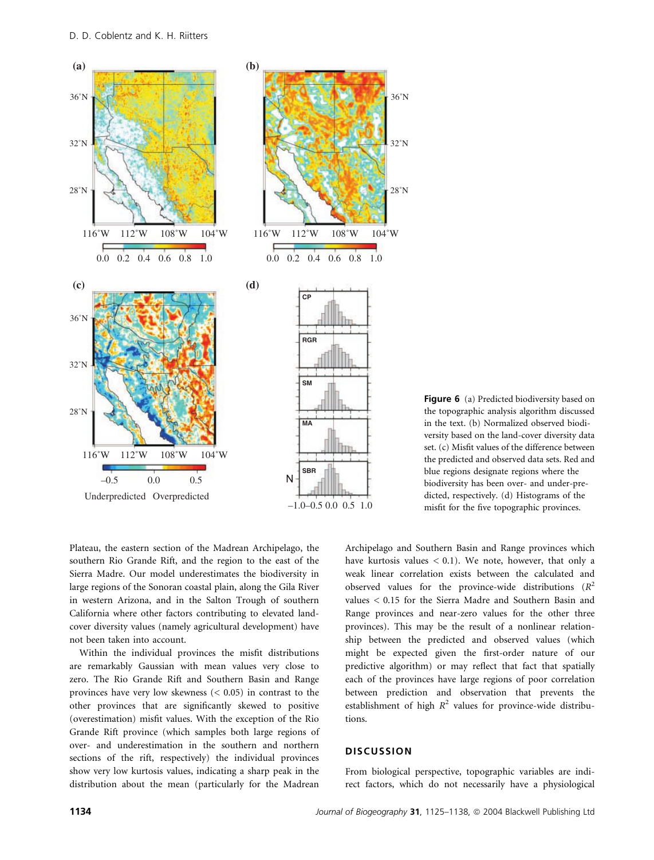

Figure 6 (a) Predicted biodiversity based on the topographic analysis algorithm discussed in the text. (b) Normalized observed biodiversity based on the land-cover diversity data set. (c) Misfit values of the difference between the predicted and observed data sets. Red and blue regions designate regions where the biodiversity has been over- and under-predicted, respectively. (d) Histograms of the misfit for the five topographic provinces.

Plateau, the eastern section of the Madrean Archipelago, the southern Rio Grande Rift, and the region to the east of the Sierra Madre. Our model underestimates the biodiversity in large regions of the Sonoran coastal plain, along the Gila River in western Arizona, and in the Salton Trough of southern California where other factors contributing to elevated landcover diversity values (namely agricultural development) have not been taken into account.

Within the individual provinces the misfit distributions are remarkably Gaussian with mean values very close to zero. The Rio Grande Rift and Southern Basin and Range provinces have very low skewness  $( $0.05$ )$  in contrast to the other provinces that are significantly skewed to positive (overestimation) misfit values. With the exception of the Rio Grande Rift province (which samples both large regions of over- and underestimation in the southern and northern sections of the rift, respectively) the individual provinces show very low kurtosis values, indicating a sharp peak in the distribution about the mean (particularly for the Madrean

Archipelago and Southern Basin and Range provinces which have kurtosis values  $< 0.1$ ). We note, however, that only a weak linear correlation exists between the calculated and observed values for the province-wide distributions  $(R^2)$ values < 0.15 for the Sierra Madre and Southern Basin and Range provinces and near-zero values for the other three provinces). This may be the result of a nonlinear relationship between the predicted and observed values (which might be expected given the first-order nature of our predictive algorithm) or may reflect that fact that spatially each of the provinces have large regions of poor correlation between prediction and observation that prevents the establishment of high  $R^2$  values for province-wide distributions.

## **DISCUSSION**

From biological perspective, topographic variables are indirect factors, which do not necessarily have a physiological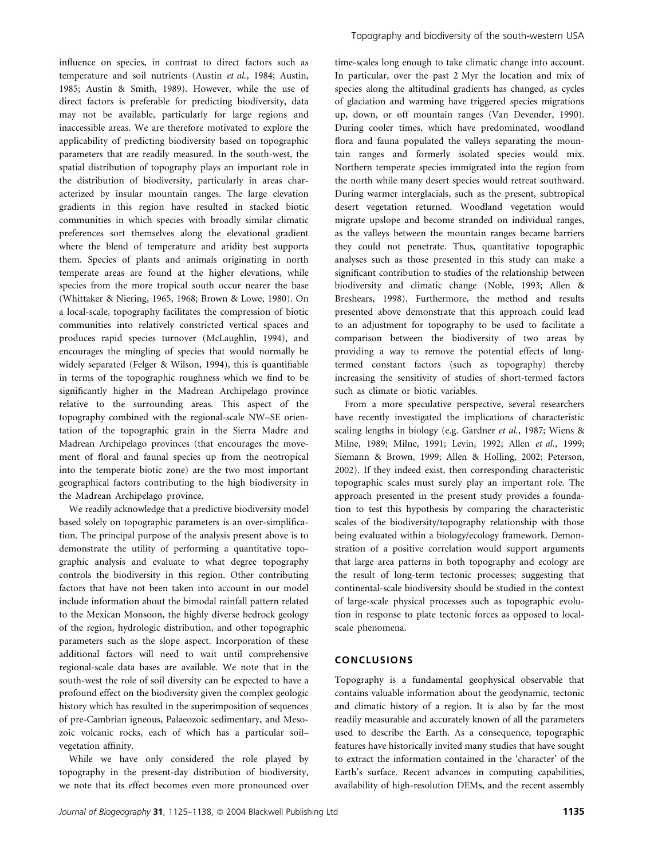influence on species, in contrast to direct factors such as temperature and soil nutrients (Austin et al., 1984; Austin, 1985; Austin & Smith, 1989). However, while the use of direct factors is preferable for predicting biodiversity, data may not be available, particularly for large regions and inaccessible areas. We are therefore motivated to explore the applicability of predicting biodiversity based on topographic parameters that are readily measured. In the south-west, the spatial distribution of topography plays an important role in the distribution of biodiversity, particularly in areas characterized by insular mountain ranges. The large elevation gradients in this region have resulted in stacked biotic communities in which species with broadly similar climatic preferences sort themselves along the elevational gradient where the blend of temperature and aridity best supports them. Species of plants and animals originating in north temperate areas are found at the higher elevations, while species from the more tropical south occur nearer the base (Whittaker & Niering, 1965, 1968; Brown & Lowe, 1980). On a local-scale, topography facilitates the compression of biotic communities into relatively constricted vertical spaces and produces rapid species turnover (McLaughlin, 1994), and encourages the mingling of species that would normally be widely separated (Felger & Wilson, 1994), this is quantifiable in terms of the topographic roughness which we find to be significantly higher in the Madrean Archipelago province relative to the surrounding areas. This aspect of the topography combined with the regional-scale NW–SE orientation of the topographic grain in the Sierra Madre and Madrean Archipelago provinces (that encourages the movement of floral and faunal species up from the neotropical into the temperate biotic zone) are the two most important geographical factors contributing to the high biodiversity in the Madrean Archipelago province.

We readily acknowledge that a predictive biodiversity model based solely on topographic parameters is an over-simplification. The principal purpose of the analysis present above is to demonstrate the utility of performing a quantitative topographic analysis and evaluate to what degree topography controls the biodiversity in this region. Other contributing factors that have not been taken into account in our model include information about the bimodal rainfall pattern related to the Mexican Monsoon, the highly diverse bedrock geology of the region, hydrologic distribution, and other topographic parameters such as the slope aspect. Incorporation of these additional factors will need to wait until comprehensive regional-scale data bases are available. We note that in the south-west the role of soil diversity can be expected to have a profound effect on the biodiversity given the complex geologic history which has resulted in the superimposition of sequences of pre-Cambrian igneous, Palaeozoic sedimentary, and Mesozoic volcanic rocks, each of which has a particular soil– vegetation affinity.

While we have only considered the role played by topography in the present-day distribution of biodiversity, we note that its effect becomes even more pronounced over

time-scales long enough to take climatic change into account. In particular, over the past 2 Myr the location and mix of species along the altitudinal gradients has changed, as cycles of glaciation and warming have triggered species migrations up, down, or off mountain ranges (Van Devender, 1990). During cooler times, which have predominated, woodland flora and fauna populated the valleys separating the mountain ranges and formerly isolated species would mix. Northern temperate species immigrated into the region from the north while many desert species would retreat southward. During warmer interglacials, such as the present, subtropical desert vegetation returned. Woodland vegetation would migrate upslope and become stranded on individual ranges, as the valleys between the mountain ranges became barriers they could not penetrate. Thus, quantitative topographic analyses such as those presented in this study can make a significant contribution to studies of the relationship between biodiversity and climatic change (Noble, 1993; Allen & Breshears, 1998). Furthermore, the method and results presented above demonstrate that this approach could lead to an adjustment for topography to be used to facilitate a comparison between the biodiversity of two areas by providing a way to remove the potential effects of longtermed constant factors (such as topography) thereby increasing the sensitivity of studies of short-termed factors such as climate or biotic variables.

From a more speculative perspective, several researchers have recently investigated the implications of characteristic scaling lengths in biology (e.g. Gardner et al., 1987; Wiens & Milne, 1989; Milne, 1991; Levin, 1992; Allen et al., 1999; Siemann & Brown, 1999; Allen & Holling, 2002; Peterson, 2002). If they indeed exist, then corresponding characteristic topographic scales must surely play an important role. The approach presented in the present study provides a foundation to test this hypothesis by comparing the characteristic scales of the biodiversity/topography relationship with those being evaluated within a biology/ecology framework. Demonstration of a positive correlation would support arguments that large area patterns in both topography and ecology are the result of long-term tectonic processes; suggesting that continental-scale biodiversity should be studied in the context of large-scale physical processes such as topographic evolution in response to plate tectonic forces as opposed to localscale phenomena.

# CONCLUSIONS

Topography is a fundamental geophysical observable that contains valuable information about the geodynamic, tectonic and climatic history of a region. It is also by far the most readily measurable and accurately known of all the parameters used to describe the Earth. As a consequence, topographic features have historically invited many studies that have sought to extract the information contained in the 'character' of the Earth's surface. Recent advances in computing capabilities, availability of high-resolution DEMs, and the recent assembly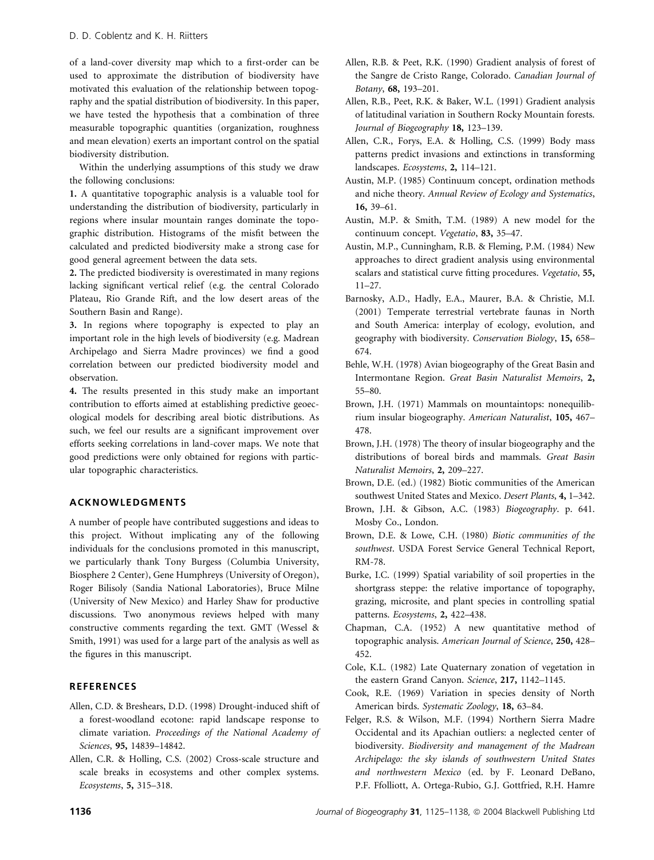of a land-cover diversity map which to a first-order can be used to approximate the distribution of biodiversity have motivated this evaluation of the relationship between topography and the spatial distribution of biodiversity. In this paper, we have tested the hypothesis that a combination of three measurable topographic quantities (organization, roughness and mean elevation) exerts an important control on the spatial biodiversity distribution.

Within the underlying assumptions of this study we draw the following conclusions:

1. A quantitative topographic analysis is a valuable tool for understanding the distribution of biodiversity, particularly in regions where insular mountain ranges dominate the topographic distribution. Histograms of the misfit between the calculated and predicted biodiversity make a strong case for good general agreement between the data sets.

2. The predicted biodiversity is overestimated in many regions lacking significant vertical relief (e.g. the central Colorado Plateau, Rio Grande Rift, and the low desert areas of the Southern Basin and Range).

3. In regions where topography is expected to play an important role in the high levels of biodiversity (e.g. Madrean Archipelago and Sierra Madre provinces) we find a good correlation between our predicted biodiversity model and observation.

4. The results presented in this study make an important contribution to efforts aimed at establishing predictive geoecological models for describing areal biotic distributions. As such, we feel our results are a significant improvement over efforts seeking correlations in land-cover maps. We note that good predictions were only obtained for regions with particular topographic characteristics.

## ACKNOWLEDGMENTS

A number of people have contributed suggestions and ideas to this project. Without implicating any of the following individuals for the conclusions promoted in this manuscript, we particularly thank Tony Burgess (Columbia University, Biosphere 2 Center), Gene Humphreys (University of Oregon), Roger Bilisoly (Sandia National Laboratories), Bruce Milne (University of New Mexico) and Harley Shaw for productive discussions. Two anonymous reviews helped with many constructive comments regarding the text. GMT (Wessel & Smith, 1991) was used for a large part of the analysis as well as the figures in this manuscript.

## **REFERENCES**

- Allen, C.D. & Breshears, D.D. (1998) Drought-induced shift of a forest-woodland ecotone: rapid landscape response to climate variation. Proceedings of the National Academy of Sciences, 95, 14839–14842.
- Allen, C.R. & Holling, C.S. (2002) Cross-scale structure and scale breaks in ecosystems and other complex systems. Ecosystems, 5, 315–318.
- Allen, R.B. & Peet, R.K. (1990) Gradient analysis of forest of the Sangre de Cristo Range, Colorado. Canadian Journal of Botany, 68, 193–201.
- Allen, R.B., Peet, R.K. & Baker, W.L. (1991) Gradient analysis of latitudinal variation in Southern Rocky Mountain forests. Journal of Biogeography 18, 123–139.
- Allen, C.R., Forys, E.A. & Holling, C.S. (1999) Body mass patterns predict invasions and extinctions in transforming landscapes. Ecosystems, 2, 114–121.
- Austin, M.P. (1985) Continuum concept, ordination methods and niche theory. Annual Review of Ecology and Systematics, 16, 39–61.
- Austin, M.P. & Smith, T.M. (1989) A new model for the continuum concept. Vegetatio, 83, 35–47.
- Austin, M.P., Cunningham, R.B. & Fleming, P.M. (1984) New approaches to direct gradient analysis using environmental scalars and statistical curve fitting procedures. Vegetatio, 55, 11–27.
- Barnosky, A.D., Hadly, E.A., Maurer, B.A. & Christie, M.I. (2001) Temperate terrestrial vertebrate faunas in North and South America: interplay of ecology, evolution, and geography with biodiversity. Conservation Biology, 15, 658– 674.
- Behle, W.H. (1978) Avian biogeography of the Great Basin and Intermontane Region. Great Basin Naturalist Memoirs, 2, 55–80.
- Brown, J.H. (1971) Mammals on mountaintops: nonequilibrium insular biogeography. American Naturalist, 105, 467– 478.
- Brown, J.H. (1978) The theory of insular biogeography and the distributions of boreal birds and mammals. Great Basin Naturalist Memoirs, 2, 209–227.
- Brown, D.E. (ed.) (1982) Biotic communities of the American southwest United States and Mexico. Desert Plants, 4, 1–342.
- Brown, J.H. & Gibson, A.C. (1983) Biogeography. p. 641. Mosby Co., London.
- Brown, D.E. & Lowe, C.H. (1980) Biotic communities of the southwest. USDA Forest Service General Technical Report, RM-78.
- Burke, I.C. (1999) Spatial variability of soil properties in the shortgrass steppe: the relative importance of topography, grazing, microsite, and plant species in controlling spatial patterns. Ecosystems, 2, 422–438.
- Chapman, C.A. (1952) A new quantitative method of topographic analysis. American Journal of Science, 250, 428– 452.
- Cole, K.L. (1982) Late Quaternary zonation of vegetation in the eastern Grand Canyon. Science, 217, 1142–1145.
- Cook, R.E. (1969) Variation in species density of North American birds. Systematic Zoology, 18, 63–84.
- Felger, R.S. & Wilson, M.F. (1994) Northern Sierra Madre Occidental and its Apachian outliers: a neglected center of biodiversity. Biodiversity and management of the Madrean Archipelago: the sky islands of southwestern United States and northwestern Mexico (ed. by F. Leonard DeBano, P.F. Ffolliott, A. Ortega-Rubio, G.J. Gottfried, R.H. Hamre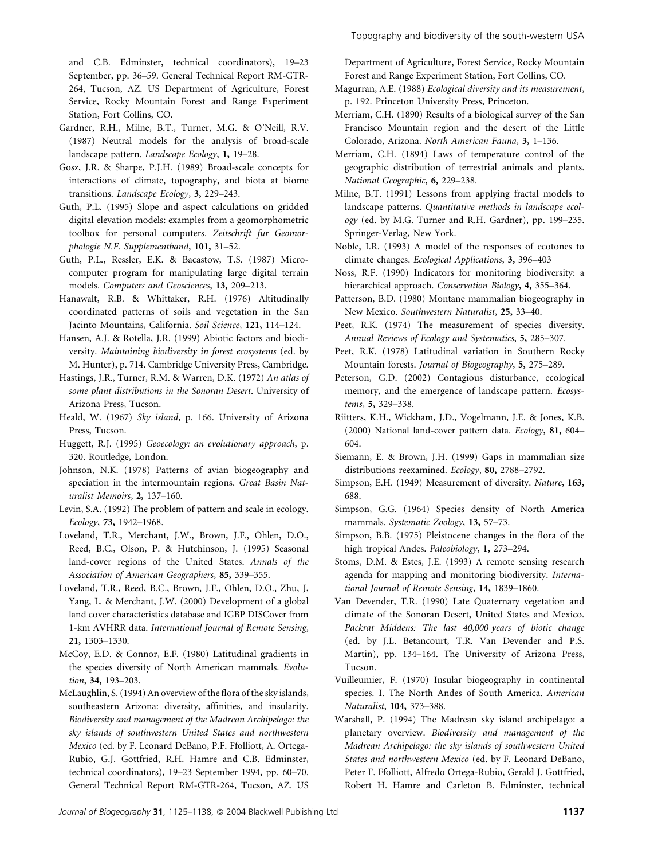and C.B. Edminster, technical coordinators), 19–23 September, pp. 36–59. General Technical Report RM-GTR-264, Tucson, AZ. US Department of Agriculture, Forest Service, Rocky Mountain Forest and Range Experiment Station, Fort Collins, CO.

- Gardner, R.H., Milne, B.T., Turner, M.G. & O'Neill, R.V. (1987) Neutral models for the analysis of broad-scale landscape pattern. Landscape Ecology, 1, 19–28.
- Gosz, J.R. & Sharpe, P.J.H. (1989) Broad-scale concepts for interactions of climate, topography, and biota at biome transitions. Landscape Ecology, 3, 229–243.
- Guth, P.L. (1995) Slope and aspect calculations on gridded digital elevation models: examples from a geomorphometric toolbox for personal computers. Zeitschrift fur Geomorphologie N.F. Supplementband, 101, 31–52.
- Guth, P.L., Ressler, E.K. & Bacastow, T.S. (1987) Microcomputer program for manipulating large digital terrain models. Computers and Geosciences, 13, 209–213.
- Hanawalt, R.B. & Whittaker, R.H. (1976) Altitudinally coordinated patterns of soils and vegetation in the San Jacinto Mountains, California. Soil Science, 121, 114–124.
- Hansen, A.J. & Rotella, J.R. (1999) Abiotic factors and biodiversity. Maintaining biodiversity in forest ecosystems (ed. by M. Hunter), p. 714. Cambridge University Press, Cambridge.
- Hastings, J.R., Turner, R.M. & Warren, D.K. (1972) An atlas of some plant distributions in the Sonoran Desert. University of Arizona Press, Tucson.
- Heald, W. (1967) Sky island, p. 166. University of Arizona Press, Tucson.
- Huggett, R.J. (1995) Geoecology: an evolutionary approach, p. 320. Routledge, London.
- Johnson, N.K. (1978) Patterns of avian biogeography and speciation in the intermountain regions. Great Basin Naturalist Memoirs, 2, 137–160.
- Levin, S.A. (1992) The problem of pattern and scale in ecology. Ecology, 73, 1942–1968.
- Loveland, T.R., Merchant, J.W., Brown, J.F., Ohlen, D.O., Reed, B.C., Olson, P. & Hutchinson, J. (1995) Seasonal land-cover regions of the United States. Annals of the Association of American Geographers, 85, 339–355.
- Loveland, T.R., Reed, B.C., Brown, J.F., Ohlen, D.O., Zhu, J, Yang, L. & Merchant, J.W. (2000) Development of a global land cover characteristics database and IGBP DISCover from 1-km AVHRR data. International Journal of Remote Sensing, 21, 1303–1330.
- McCoy, E.D. & Connor, E.F. (1980) Latitudinal gradients in the species diversity of North American mammals. Evolution, 34, 193–203.
- McLaughlin, S. (1994) An overview of the flora of the sky islands, southeastern Arizona: diversity, affinities, and insularity. Biodiversity and management of the Madrean Archipelago: the sky islands of southwestern United States and northwestern Mexico (ed. by F. Leonard DeBano, P.F. Ffolliott, A. Ortega-Rubio, G.J. Gottfried, R.H. Hamre and C.B. Edminster, technical coordinators), 19–23 September 1994, pp. 60–70. General Technical Report RM-GTR-264, Tucson, AZ. US

Department of Agriculture, Forest Service, Rocky Mountain Forest and Range Experiment Station, Fort Collins, CO.

- Magurran, A.E. (1988) Ecological diversity and its measurement, p. 192. Princeton University Press, Princeton.
- Merriam, C.H. (1890) Results of a biological survey of the San Francisco Mountain region and the desert of the Little Colorado, Arizona. North American Fauna, 3, 1–136.
- Merriam, C.H. (1894) Laws of temperature control of the geographic distribution of terrestrial animals and plants. National Geographic, 6, 229–238.
- Milne, B.T. (1991) Lessons from applying fractal models to landscape patterns. Quantitative methods in landscape ecology (ed. by M.G. Turner and R.H. Gardner), pp. 199–235. Springer-Verlag, New York.
- Noble, I.R. (1993) A model of the responses of ecotones to climate changes. Ecological Applications, 3, 396–403
- Noss, R.F. (1990) Indicators for monitoring biodiversity: a hierarchical approach. Conservation Biology, 4, 355–364.
- Patterson, B.D. (1980) Montane mammalian biogeography in New Mexico. Southwestern Naturalist, 25, 33–40.
- Peet, R.K. (1974) The measurement of species diversity. Annual Reviews of Ecology and Systematics, 5, 285–307.
- Peet, R.K. (1978) Latitudinal variation in Southern Rocky Mountain forests. Journal of Biogeography, 5, 275–289.
- Peterson, G.D. (2002) Contagious disturbance, ecological memory, and the emergence of landscape pattern. Ecosystems, 5, 329–338.
- Riitters, K.H., Wickham, J.D., Vogelmann, J.E. & Jones, K.B. (2000) National land-cover pattern data. Ecology, 81, 604– 604.
- Siemann, E. & Brown, J.H. (1999) Gaps in mammalian size distributions reexamined. Ecology, 80, 2788–2792.
- Simpson, E.H. (1949) Measurement of diversity. Nature, 163, 688.
- Simpson, G.G. (1964) Species density of North America mammals. Systematic Zoology, 13, 57–73.
- Simpson, B.B. (1975) Pleistocene changes in the flora of the high tropical Andes. Paleobiology, 1, 273–294.
- Stoms, D.M. & Estes, J.E. (1993) A remote sensing research agenda for mapping and monitoring biodiversity. International Journal of Remote Sensing, 14, 1839–1860.
- Van Devender, T.R. (1990) Late Quaternary vegetation and climate of the Sonoran Desert, United States and Mexico. Packrat Middens: The last 40,000 years of biotic change (ed. by J.L. Betancourt, T.R. Van Devender and P.S. Martin), pp. 134–164. The University of Arizona Press, Tucson.
- Vuilleumier, F. (1970) Insular biogeography in continental species. I. The North Andes of South America. American Naturalist, 104, 373–388.
- Warshall, P. (1994) The Madrean sky island archipelago: a planetary overview. Biodiversity and management of the Madrean Archipelago: the sky islands of southwestern United States and northwestern Mexico (ed. by F. Leonard DeBano, Peter F. Ffolliott, Alfredo Ortega-Rubio, Gerald J. Gottfried, Robert H. Hamre and Carleton B. Edminster, technical